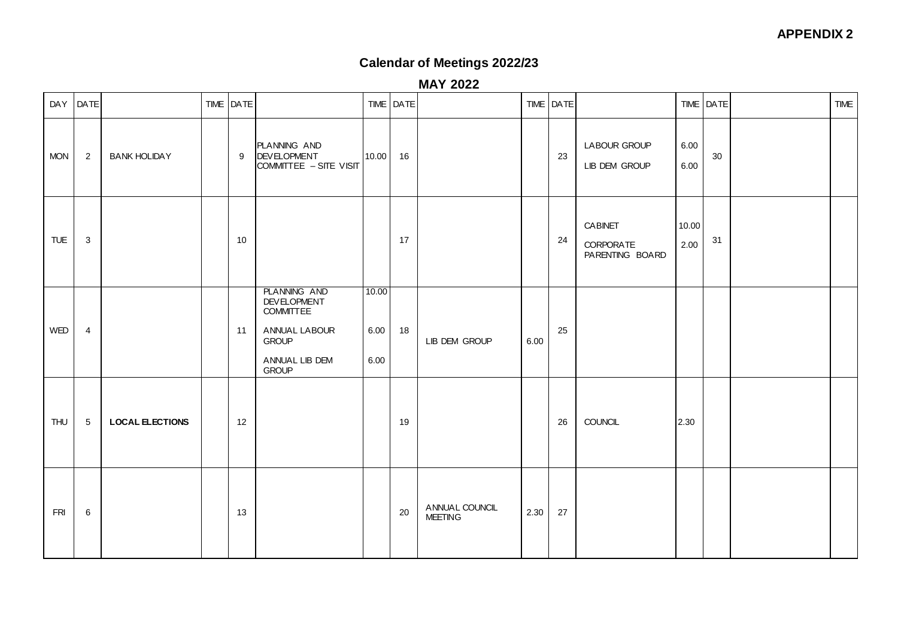### **APPENDIX 2**

# **Calendar of Meetings 2022/23**

**MAY 2022**

|            | DAY DATE        |                        | TIME DATE |                                                                                                                                  |                       | TIME   DATE |                                  |      | TIME   DATE |                                                |               | TIME DATE | <b>TIME</b> |
|------------|-----------------|------------------------|-----------|----------------------------------------------------------------------------------------------------------------------------------|-----------------------|-------------|----------------------------------|------|-------------|------------------------------------------------|---------------|-----------|-------------|
| <b>MON</b> | $\overline{2}$  | <b>BANK HOLIDAY</b>    | 9         | PLANNING AND<br><b>DEVELOPMENT</b><br>COMMITTEE - SITE VISIT                                                                     | 10.00                 | 16          |                                  |      | 23          | <b>LABOUR GROUP</b><br>LIB DEM GROUP           | 6.00<br>6.00  | 30        |             |
| TUE        | $\mathbf{3}$    |                        | 10        |                                                                                                                                  |                       | 17          |                                  |      | 24          | <b>CABINET</b><br>CORPORATE<br>PARENTING BOARD | 10.00<br>2.00 | 31        |             |
| WED        | $\overline{4}$  |                        | 11        | <b>PLANNING AND</b><br><b>DEVELOPMENT</b><br><b>COMMITTEE</b><br>ANNUAL LABOUR<br><b>GROUP</b><br>ANNUAL LIB DEM<br><b>GROUP</b> | 10.00<br>6.00<br>6.00 | 18          | LIB DEM GROUP                    | 6.00 | 25          |                                                |               |           |             |
| <b>THU</b> | $5\phantom{.0}$ | <b>LOCAL ELECTIONS</b> | 12        |                                                                                                                                  |                       | 19          |                                  |      | 26          | <b>COUNCIL</b>                                 | 2.30          |           |             |
| <b>FRI</b> | $\,6\,$         |                        | 13        |                                                                                                                                  |                       | 20          | ANNUAL COUNCIL<br><b>MEETING</b> | 2.30 | 27          |                                                |               |           |             |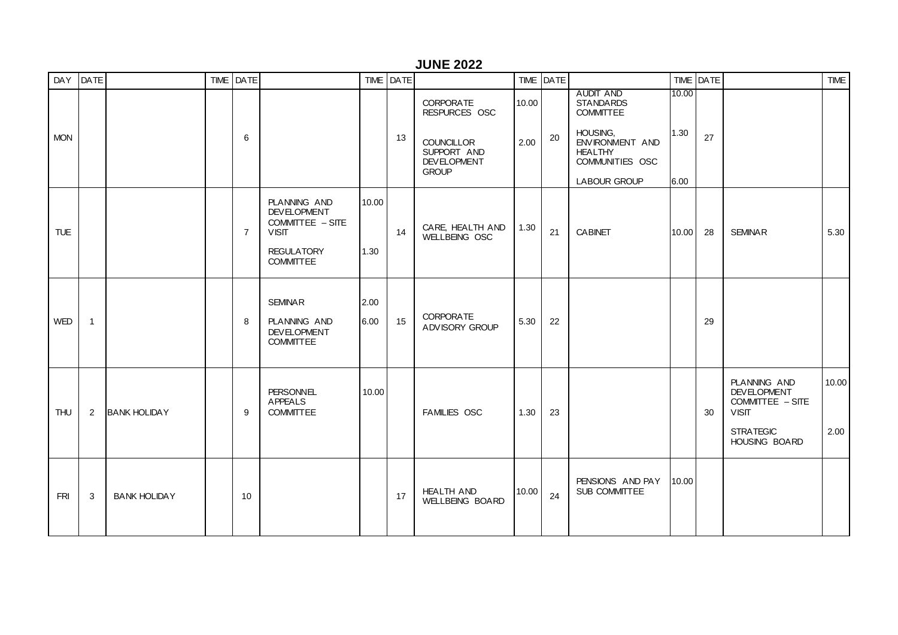#### **JUNE 2022**

| DAY DATE   |                |                     | TIME DATE      |                                                                                                                 |               | TIME DATE |                                                                                                             |               | TIME DATE |                                                                                                                                                     |                       | TIME DATE |                                                                                                             | <b>TIME</b>   |
|------------|----------------|---------------------|----------------|-----------------------------------------------------------------------------------------------------------------|---------------|-----------|-------------------------------------------------------------------------------------------------------------|---------------|-----------|-----------------------------------------------------------------------------------------------------------------------------------------------------|-----------------------|-----------|-------------------------------------------------------------------------------------------------------------|---------------|
| <b>MON</b> |                |                     | 6              |                                                                                                                 |               | 13        | <b>CORPORATE</b><br>RESPURCES OSC<br><b>COUNCILLOR</b><br>SUPPORT AND<br><b>DEVELOPMENT</b><br><b>GROUP</b> | 10.00<br>2.00 | 20        | <b>AUDIT AND</b><br><b>STANDARDS</b><br><b>COMMITTEE</b><br>HOUSING,<br>ENVIRONMENT AND<br><b>HEALTHY</b><br>COMMUNITIES OSC<br><b>LABOUR GROUP</b> | 10.00<br>1.30<br>6.00 | 27        |                                                                                                             |               |
| <b>TUE</b> |                |                     | $\overline{7}$ | PLANNING AND<br><b>DEVELOPMENT</b><br>COMMITTEE - SITE<br><b>VISIT</b><br><b>REGULATORY</b><br><b>COMMITTEE</b> | 10.00<br>1.30 | 14        | CARE, HEALTH AND<br>WELLBEING OSC                                                                           | 1.30          | 21        | <b>CABINET</b>                                                                                                                                      | 10.00                 | 28        | <b>SEMINAR</b>                                                                                              | 5.30          |
| <b>WED</b> | $\overline{1}$ |                     | 8              | <b>SEMINAR</b><br><b>PLANNING AND</b><br><b>DEVELOPMENT</b><br><b>COMMITTEE</b>                                 | 2.00<br>6.00  | 15        | <b>CORPORATE</b><br>ADVISORY GROUP                                                                          | 5.30          | 22        |                                                                                                                                                     |                       | 29        |                                                                                                             |               |
| THU        | $\overline{2}$ | <b>BANK HOLIDAY</b> | 9              | <b>PERSONNEL</b><br><b>APPEALS</b><br><b>COMMITTEE</b>                                                          | 10.00         |           | <b>FAMILIES OSC</b>                                                                                         | 1.30          | 23        |                                                                                                                                                     |                       | 30        | PLANNING AND<br><b>DEVELOPMENT</b><br>COMMITTEE - SITE<br><b>VISIT</b><br><b>STRATEGIC</b><br>HOUSING BOARD | 10.00<br>2.00 |
| <b>FRI</b> | 3              | <b>BANK HOLIDAY</b> | 10             |                                                                                                                 |               | 17        | <b>HEALTH AND</b><br><b>WELLBEING BOARD</b>                                                                 | 10.00         | 24        | PENSIONS AND PAY<br>SUB COMMITTEE                                                                                                                   | 10.00                 |           |                                                                                                             |               |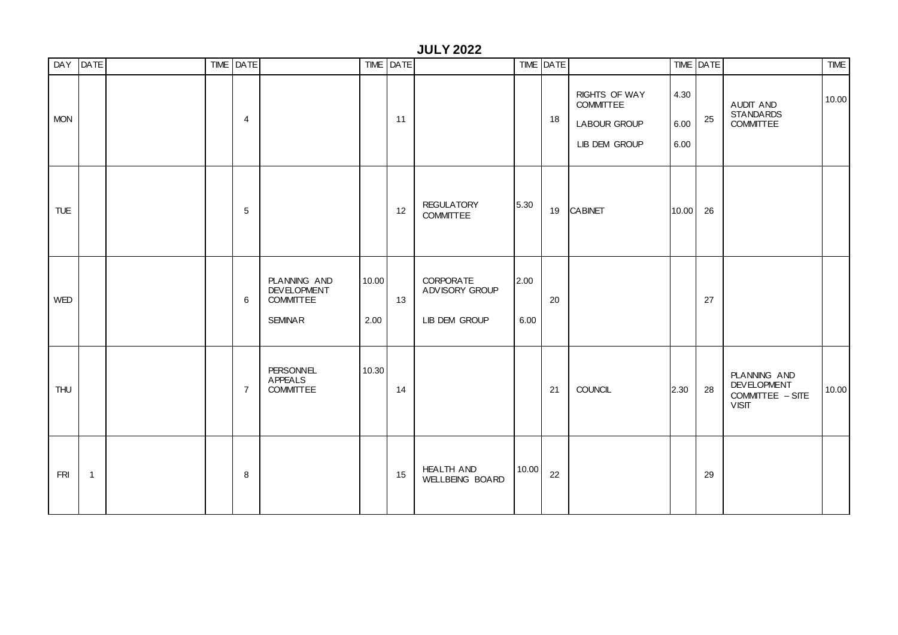|            |                |  |                |                                                                          |               |             | <b>JULY 2022</b>                                    |              |           |                                                                    |                      |           |                                                                        |             |
|------------|----------------|--|----------------|--------------------------------------------------------------------------|---------------|-------------|-----------------------------------------------------|--------------|-----------|--------------------------------------------------------------------|----------------------|-----------|------------------------------------------------------------------------|-------------|
|            | DAY DATE       |  | TIME DATE      |                                                                          |               | TIME   DATE |                                                     |              | TIME DATE |                                                                    |                      | TIME DATE |                                                                        | <b>TIME</b> |
| <b>MON</b> |                |  | 4              |                                                                          |               | 11          |                                                     |              | 18        | RIGHTS OF WAY<br>COMMITTEE<br><b>LABOUR GROUP</b><br>LIB DEM GROUP | 4.30<br>6.00<br>6.00 | 25        | AUDIT AND<br><b>STANDARDS</b><br><b>COMMITTEE</b>                      | 10.00       |
| <b>TUE</b> |                |  | $\sqrt{5}$     |                                                                          |               | 12          | <b>REGULATORY</b><br><b>COMMITTEE</b>               | 5.30         | 19        | <b>CABINET</b>                                                     | 10.00                | 26        |                                                                        |             |
| <b>WED</b> |                |  | 6              | PLANNING AND<br><b>DEVELOPMENT</b><br><b>COMMITTEE</b><br><b>SEMINAR</b> | 10.00<br>2.00 | 13          | <b>CORPORATE</b><br>ADVISORY GROUP<br>LIB DEM GROUP | 2.00<br>6.00 | 20        |                                                                    |                      | 27        |                                                                        |             |
| <b>THU</b> |                |  | $\overline{7}$ | <b>PERSONNEL</b><br><b>APPEALS</b><br><b>COMMITTEE</b>                   | 10.30         | 14          |                                                     |              | 21        | COUNCIL                                                            | 2.30                 | 28        | PLANNING AND<br><b>DEVELOPMENT</b><br>COMMITTEE - SITE<br><b>VISIT</b> | 10.00       |
| <b>FRI</b> | $\overline{1}$ |  | 8              |                                                                          |               | 15          | <b>HEALTH AND</b><br>WELLBEING BOARD                | 10.00        | 22        |                                                                    |                      | 29        |                                                                        |             |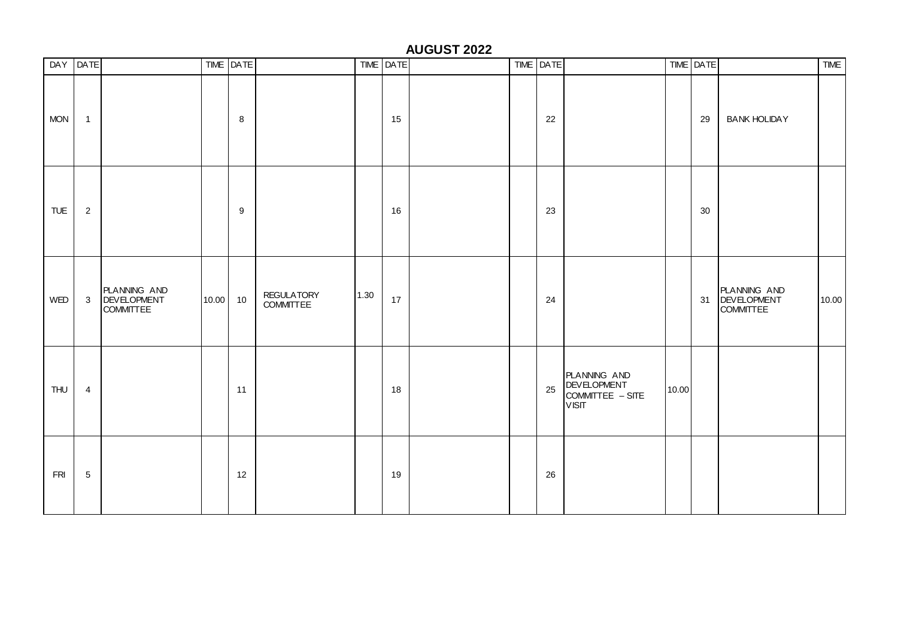### **AUGUST 2022**

|            | DAY DATE       |                                                        |          | TIME DATE        |                                |      | TIME DATE |  | TIME DATE |                                                                        |       | TIME DATE |                                                    | <b>TIME</b> |
|------------|----------------|--------------------------------------------------------|----------|------------------|--------------------------------|------|-----------|--|-----------|------------------------------------------------------------------------|-------|-----------|----------------------------------------------------|-------------|
| <b>MON</b> | $\overline{1}$ |                                                        |          | 8                |                                |      | 15        |  | 22        |                                                                        |       | 29        | <b>BANK HOLIDAY</b>                                |             |
| <b>TUE</b> | $\sqrt{2}$     |                                                        |          | $\boldsymbol{9}$ |                                |      | 16        |  | 23        |                                                                        |       | 30        |                                                    |             |
| WED        | $\mathbf{3}$   | PLANNING AND<br><b>DEVELOPMENT</b><br><b>COMMITTEE</b> | 10.00 10 |                  | <b>REGULATORY</b><br>COMMITTEE | 1.30 | 17        |  | 24        |                                                                        |       |           | PLANNING AND<br>31 DEVELOPMENT<br><b>COMMITTEE</b> | 10.00       |
| <b>THU</b> | $\overline{4}$ |                                                        |          | 11               |                                |      | 18        |  | 25        | PLANNING AND<br><b>DEVELOPMENT</b><br>COMMITTEE - SITE<br><b>VISIT</b> | 10.00 |           |                                                    |             |
| <b>FRI</b> | $\sqrt{5}$     |                                                        |          | 12               |                                |      | 19        |  | 26        |                                                                        |       |           |                                                    |             |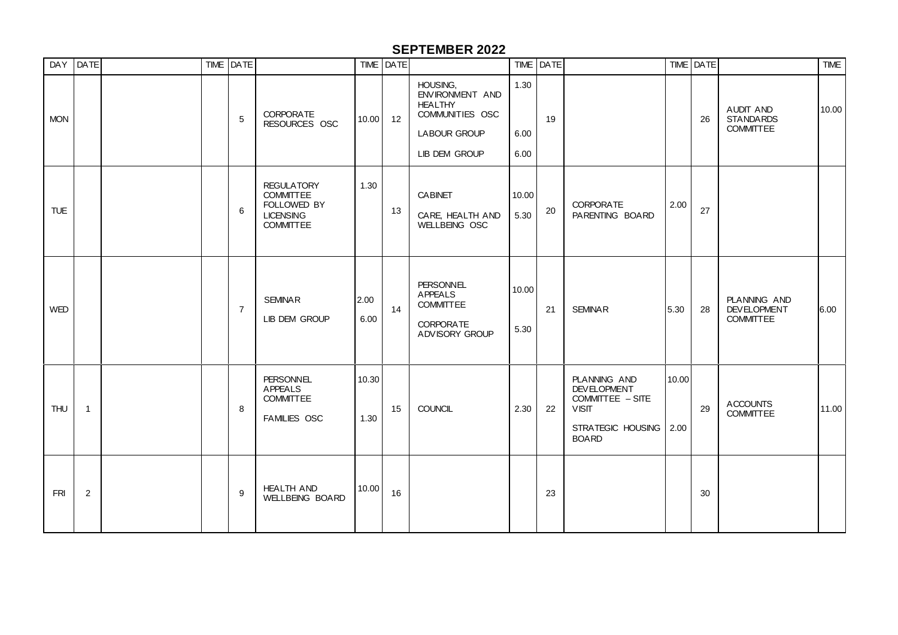### **SEPTEMBER 2022**

|            | DAY DATE       |  | TIME DATE      |                                                                                              |               | TIME   DATE |                                                                                                                 |                      | TIME DATE |                                                                                                                    |       | TIME DATE |                                                        | <b>TIME</b> |
|------------|----------------|--|----------------|----------------------------------------------------------------------------------------------|---------------|-------------|-----------------------------------------------------------------------------------------------------------------|----------------------|-----------|--------------------------------------------------------------------------------------------------------------------|-------|-----------|--------------------------------------------------------|-------------|
| <b>MON</b> |                |  | 5              | <b>CORPORATE</b><br>RESOURCES OSC                                                            | 10.00         | 12          | HOUSING,<br>ENVIRONMENT AND<br><b>HEALTHY</b><br>COMMUNITIES OSC<br><b>LABOUR GROUP</b><br><b>LIB DEM GROUP</b> | 1.30<br>6.00<br>6.00 | 19        |                                                                                                                    |       | 26        | AUDIT AND<br><b>STANDARDS</b><br><b>COMMITTEE</b>      | 10.00       |
| <b>TUE</b> |                |  | 6              | <b>REGULATORY</b><br><b>COMMITTEE</b><br>FOLLOWED BY<br><b>LICENSING</b><br><b>COMMITTEE</b> | 1.30          | 13          | <b>CABINET</b><br>CARE, HEALTH AND<br>WELLBEING OSC                                                             | 10.00<br>5.30        | 20        | <b>CORPORATE</b><br>PARENTING BOARD                                                                                | 2.00  | 27        |                                                        |             |
| <b>WED</b> |                |  | $\overline{7}$ | <b>SEMINAR</b><br><b>LIB DEM GROUP</b>                                                       | 2.00<br>6.00  | 14          | <b>PERSONNEL</b><br><b>APPEALS</b><br><b>COMMITTEE</b><br><b>CORPORATE</b><br>ADVISORY GROUP                    | 10.00<br>5.30        | 21        | <b>SEMINAR</b>                                                                                                     | 5.30  | 28        | PLANNING AND<br><b>DEVELOPMENT</b><br><b>COMMITTEE</b> | 6.00        |
| <b>THU</b> | $\overline{1}$ |  | 8              | <b>PERSONNEL</b><br><b>APPEALS</b><br><b>COMMITTEE</b><br><b>FAMILIES OSC</b>                | 10.30<br>1.30 | 15          | <b>COUNCIL</b>                                                                                                  | 2.30                 | 22        | PLANNING AND<br><b>DEVELOPMENT</b><br>COMMITTEE - SITE<br><b>VISIT</b><br>STRATEGIC HOUSING   2.00<br><b>BOARD</b> | 10.00 | 29        | <b>ACCOUNTS</b><br><b>COMMITTEE</b>                    | 11.00       |
| FRI        | 2              |  | 9              | <b>HEALTH AND</b><br>WELLBEING BOARD                                                         | 10.00         | 16          |                                                                                                                 |                      | 23        |                                                                                                                    |       | 30        |                                                        |             |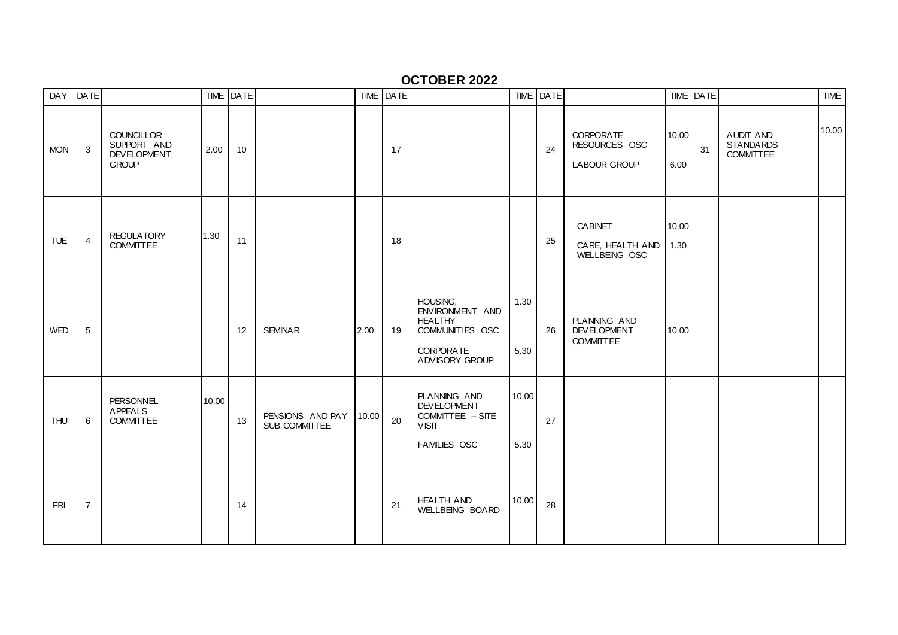### **OCTOBER 2022**

|            | DAY DATE       |                                                                        |       | TIME DATE |                                   |       | TIME DATE |                                                                                                        |               | TIME   DATE |                                                          |               | TIME DATE |                                                   | <b>TIME</b> |
|------------|----------------|------------------------------------------------------------------------|-------|-----------|-----------------------------------|-------|-----------|--------------------------------------------------------------------------------------------------------|---------------|-------------|----------------------------------------------------------|---------------|-----------|---------------------------------------------------|-------------|
| <b>MON</b> | 3              | <b>COUNCILLOR</b><br>SUPPORT AND<br><b>DEVELOPMENT</b><br><b>GROUP</b> | 2.00  | 10        |                                   |       | 17        |                                                                                                        |               | 24          | <b>CORPORATE</b><br>RESOURCES OSC<br><b>LABOUR GROUP</b> | 10.00<br>6.00 | 31        | AUDIT AND<br><b>STANDARDS</b><br><b>COMMITTEE</b> | 10.00       |
| <b>TUE</b> | $\overline{4}$ | <b>REGULATORY</b><br><b>COMMITTEE</b>                                  | 1.30  | 11        |                                   |       | 18        |                                                                                                        |               | 25          | <b>CABINET</b><br>CARE, HEALTH AND<br>WELLBEING OSC      | 10.00<br>1.30 |           |                                                   |             |
| <b>WED</b> | 5              |                                                                        |       | 12        | <b>SEMINAR</b>                    | 2.00  | 19        | HOUSING,<br>ENVIRONMENT AND<br><b>HEALTHY</b><br>COMMUNITIES OSC<br><b>CORPORATE</b><br>ADVISORY GROUP | 1.30<br>5.30  | 26          | PLANNING AND<br><b>DEVELOPMENT</b><br><b>COMMITTEE</b>   | 10.00         |           |                                                   |             |
| <b>THU</b> | 6              | <b>PERSONNEL</b><br><b>APPEALS</b><br><b>COMMITTEE</b>                 | 10.00 | 13        | PENSIONS AND PAY<br>SUB COMMITTEE | 10.00 | 20        | PLANNING AND<br><b>DEVELOPMENT</b><br>COMMITTEE - SITE<br><b>VISIT</b><br><b>FAMILIES OSC</b>          | 10.00<br>5.30 | 27          |                                                          |               |           |                                                   |             |
| <b>FRI</b> | $\overline{7}$ |                                                                        |       | 14        |                                   |       | 21        | <b>HEALTH AND</b><br><b>WELLBEING BOARD</b>                                                            | 10.00         | 28          |                                                          |               |           |                                                   |             |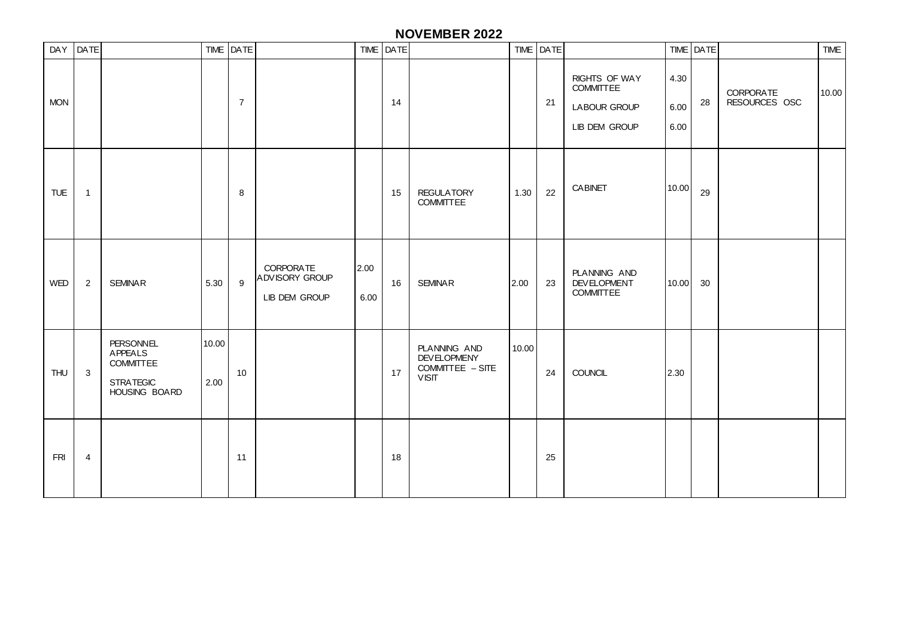### **NOVEMBER 2022**

| DAY DATE   |                |                                                                                      |               | TIME DATE      |                                                            |              | TIME DATE |                                                                        |       | TIME DATE |                                                                           |                      | TIME DATE |                                   | <b>TIME</b> |
|------------|----------------|--------------------------------------------------------------------------------------|---------------|----------------|------------------------------------------------------------|--------------|-----------|------------------------------------------------------------------------|-------|-----------|---------------------------------------------------------------------------|----------------------|-----------|-----------------------------------|-------------|
| <b>MON</b> |                |                                                                                      |               | $\overline{7}$ |                                                            |              | 14        |                                                                        |       | 21        | <b>RIGHTS OF WAY</b><br><b>COMMITTEE</b><br>LABOUR GROUP<br>LIB DEM GROUP | 4.30<br>6.00<br>6.00 | 28        | <b>CORPORATE</b><br>RESOURCES OSC | 10.00       |
| TUE        | $\mathbf{1}$   |                                                                                      |               | 8              |                                                            |              | 15        | <b>REGULATORY</b><br><b>COMMITTEE</b>                                  | 1.30  | 22        | <b>CABINET</b>                                                            | 10.00                | 29        |                                   |             |
| WED        | $\overline{2}$ | <b>SEMINAR</b>                                                                       | 5.30          | 9              | <b>CORPORATE</b><br><b>ADVISORY GROUP</b><br>LIB DEM GROUP | 2.00<br>6.00 | 16        | <b>SEMINAR</b>                                                         | 2.00  | 23        | PLANNING AND<br><b>DEVELOPMENT</b><br>COMMITTEE                           | 10.00                | 30        |                                   |             |
| <b>THU</b> | $\mathbf{3}$   | <b>PERSONNEL</b><br>APPEALS<br><b>COMMITTEE</b><br><b>STRATEGIC</b><br>HOUSING BOARD | 10.00<br>2.00 | 10             |                                                            |              | 17        | PLANNING AND<br><b>DEVELOPMENY</b><br>COMMITTEE - SITE<br><b>VISIT</b> | 10.00 | 24        | COUNCIL                                                                   | 2.30                 |           |                                   |             |
| <b>FRI</b> | $\overline{4}$ |                                                                                      |               | 11             |                                                            |              | 18        |                                                                        |       | 25        |                                                                           |                      |           |                                   |             |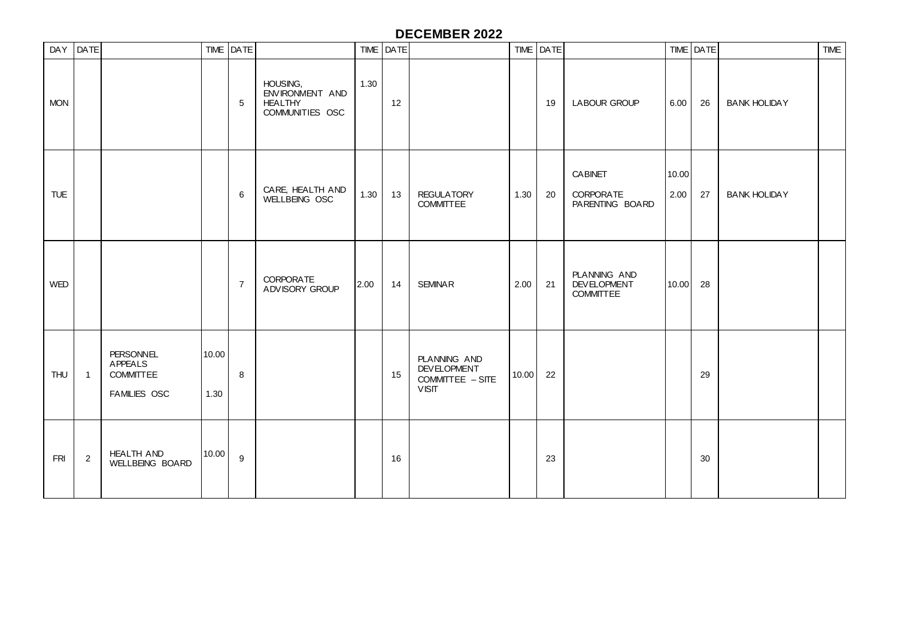## **DECEMBER 2022**

|            | DAY DATE       |                                                                        |               | TIME DATE      |                                                                  |      | TIME   DATE |                                                                        |       | TIME DATE |                                                        |               | TIME DATE |                     | <b>TIME</b> |
|------------|----------------|------------------------------------------------------------------------|---------------|----------------|------------------------------------------------------------------|------|-------------|------------------------------------------------------------------------|-------|-----------|--------------------------------------------------------|---------------|-----------|---------------------|-------------|
| <b>MON</b> |                |                                                                        |               | $\sqrt{5}$     | HOUSING,<br>ENVIRONMENT AND<br><b>HEALTHY</b><br>COMMUNITIES OSC | 1.30 | 12          |                                                                        |       | 19        | <b>LABOUR GROUP</b>                                    | 6.00          | 26        | <b>BANK HOLIDAY</b> |             |
| <b>TUE</b> |                |                                                                        |               | 6              | CARE, HEALTH AND<br>WELLBEING OSC                                | 1.30 | 13          | <b>REGULATORY</b><br><b>COMMITTEE</b>                                  | 1.30  | 20        | <b>CABINET</b><br><b>CORPORATE</b><br>PARENTING BOARD  | 10.00<br>2.00 | 27        | <b>BANK HOLIDAY</b> |             |
| <b>WED</b> |                |                                                                        |               | $\overline{7}$ | <b>CORPORATE</b><br>ADVISORY GROUP                               | 2.00 | 14          | <b>SEMINAR</b>                                                         | 2.00  | 21        | PLANNING AND<br><b>DEVELOPMENT</b><br><b>COMMITTEE</b> | 10.00         | 28        |                     |             |
| THU        | $\overline{1}$ | <b>PERSONNEL</b><br><b>APPEALS</b><br><b>COMMITTEE</b><br>FAMILIES OSC | 10.00<br>1.30 | 8              |                                                                  |      | 15          | PLANNING AND<br><b>DEVELOPMENT</b><br>COMMITTEE - SITE<br><b>VISIT</b> | 10.00 | 22        |                                                        |               | 29        |                     |             |
| <b>FRI</b> | $\overline{2}$ | <b>HEALTH AND</b><br>WELLBEING BOARD                                   | 10.00         | 9              |                                                                  |      | 16          |                                                                        |       | 23        |                                                        |               | 30        |                     |             |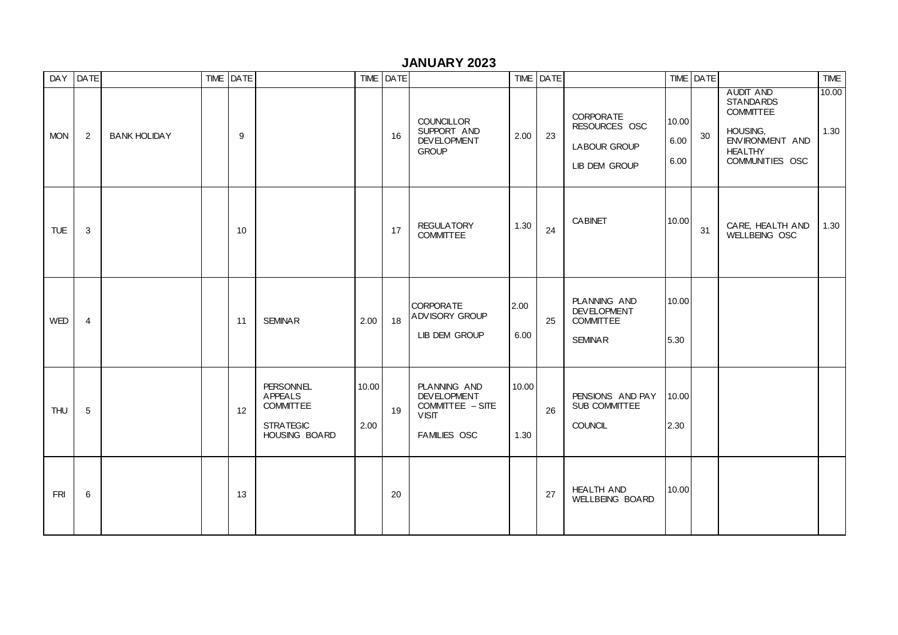### **JANUARY 2023**

| DAY        | <b>DATE</b>    |                     | TIME DATE |                                                                                      |               | TIME DATE |                                                                                        |               | TIME DATE |                                                                                  |                       | TIME DATE |                                                                                                                              | <b>TIME</b>   |
|------------|----------------|---------------------|-----------|--------------------------------------------------------------------------------------|---------------|-----------|----------------------------------------------------------------------------------------|---------------|-----------|----------------------------------------------------------------------------------|-----------------------|-----------|------------------------------------------------------------------------------------------------------------------------------|---------------|
| <b>MON</b> | $\overline{2}$ | <b>BANK HOLIDAY</b> | 9         |                                                                                      |               | 16        | <b>COUNCILLOR</b><br>SUPPORT AND<br><b>DEVELOPMENT</b><br><b>GROUP</b>                 | 2.00          | 23        | <b>CORPORATE</b><br>RESOURCES OSC<br><b>LABOUR GROUP</b><br><b>LIB DEM GROUP</b> | 10.00<br>6.00<br>6.00 | 30        | <b>AUDIT AND</b><br><b>STANDARDS</b><br><b>COMMITTEE</b><br>HOUSING.<br>ENVIRONMENT AND<br><b>HEALTHY</b><br>COMMUNITIES OSC | 10.00<br>1.30 |
| TUE        | 3              |                     | 10        |                                                                                      |               | 17        | <b>REGULATORY</b><br><b>COMMITTEE</b>                                                  | 1.30          | 24        | <b>CABINET</b>                                                                   | 10.00                 | 31        | CARE, HEALTH AND<br>WELLBEING OSC                                                                                            | 1.30          |
| WED        | $\overline{4}$ |                     | 11        | <b>SEMINAR</b>                                                                       | 2.00          | 18        | <b>CORPORATE</b><br>ADVISORY GROUP<br>LIB DEM GROUP                                    | 2.00<br>6.00  | 25        | PLANNING AND<br><b>DEVELOPMENT</b><br><b>COMMITTEE</b><br><b>SEMINAR</b>         | 10.00<br>5.30         |           |                                                                                                                              |               |
| <b>THU</b> | $\,$ 5 $\,$    |                     | 12        | <b>PERSONNEL</b><br>APPEALS<br><b>COMMITTEE</b><br><b>STRATEGIC</b><br>HOUSING BOARD | 10.00<br>2.00 | 19        | PLANNING AND<br><b>DEVELOPMENT</b><br>COMMITTEE - SITE<br><b>VISIT</b><br>FAMILIES OSC | 10.00<br>1.30 | 26        | PENSIONS AND PAY<br>SUB COMMITTEE<br><b>COUNCIL</b>                              | 10.00<br>2.30         |           |                                                                                                                              |               |
| <b>FRI</b> | 6              |                     | 13        |                                                                                      |               | 20        |                                                                                        |               | 27        | <b>HEALTH AND</b><br>WELLBEING BOARD                                             | 10.00                 |           |                                                                                                                              |               |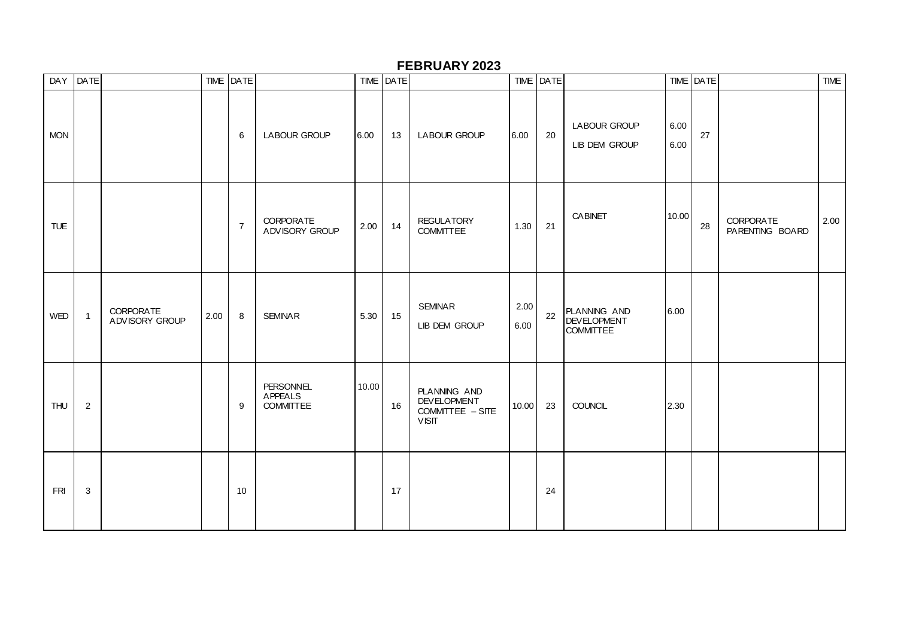### **FEBRUARY 2023**

|            | DAY DATE       |                                    |      | TIME DATE      |                                                 |       | TIME DATE |                                                                        |              | TIME DATE |                                                        |              | TIME DATE |                                     | <b>TIME</b> |
|------------|----------------|------------------------------------|------|----------------|-------------------------------------------------|-------|-----------|------------------------------------------------------------------------|--------------|-----------|--------------------------------------------------------|--------------|-----------|-------------------------------------|-------------|
| <b>MON</b> |                |                                    |      | 6              | <b>LABOUR GROUP</b>                             | 6.00  | 13        | LABOUR GROUP                                                           | 6.00         | 20        | <b>LABOUR GROUP</b><br>LIB DEM GROUP                   | 6.00<br>6.00 | 27        |                                     |             |
| <b>TUE</b> |                |                                    |      | $\overline{7}$ | <b>CORPORATE</b><br>ADVISORY GROUP              | 2.00  | 14        | <b>REGULATORY</b><br><b>COMMITTEE</b>                                  | 1.30         | 21        | <b>CABINET</b>                                         | 10.00        | 28        | <b>CORPORATE</b><br>PARENTING BOARD | 2.00        |
| WED        | $\overline{1}$ | <b>CORPORATE</b><br>ADVISORY GROUP | 2.00 | 8              | <b>SEMINAR</b>                                  | 5.30  | 15        | <b>SEMINAR</b><br>LIB DEM GROUP                                        | 2.00<br>6.00 | 22        | PLANNING AND<br><b>DEVELOPMENT</b><br><b>COMMITTEE</b> | 6.00         |           |                                     |             |
| THU        | $\overline{c}$ |                                    |      | 9              | <b>PERSONNEL</b><br>APPEALS<br><b>COMMITTEE</b> | 10.00 | 16        | PLANNING AND<br><b>DEVELOPMENT</b><br>COMMITTEE - SITE<br><b>VISIT</b> | 10.00        | 23        | <b>COUNCIL</b>                                         | 2.30         |           |                                     |             |
| FRI        | 3              |                                    |      | 10             |                                                 |       | 17        |                                                                        |              | 24        |                                                        |              |           |                                     |             |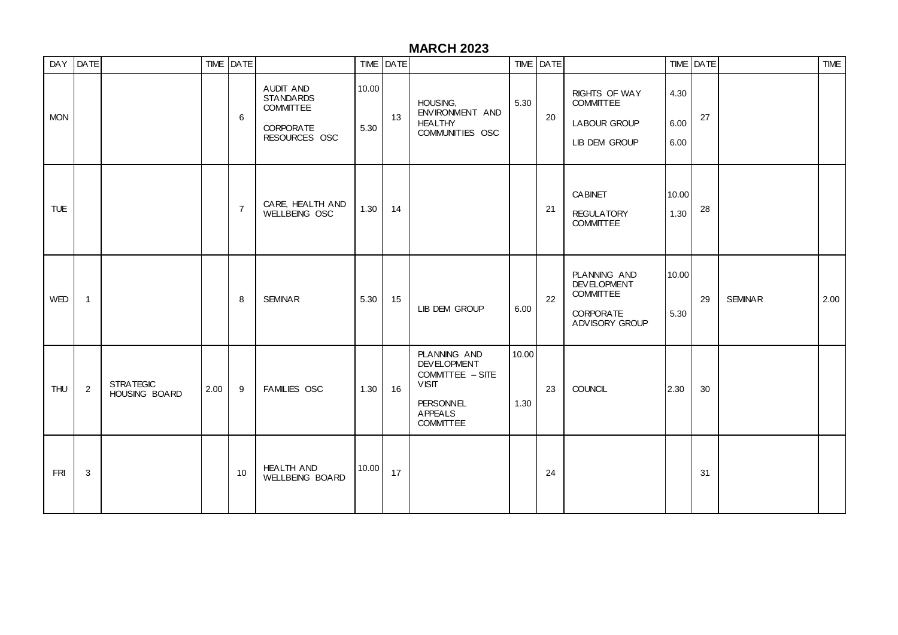# **MARCH 2023**

|            | DAY DATE       |                                   |      | TIME DATE      |                                                                                        |               | TIME   DATE |                                                                                                                                  |               | TIME DATE |                                                                                              |                      | TIME DATE |                | <b>TIME</b> |
|------------|----------------|-----------------------------------|------|----------------|----------------------------------------------------------------------------------------|---------------|-------------|----------------------------------------------------------------------------------------------------------------------------------|---------------|-----------|----------------------------------------------------------------------------------------------|----------------------|-----------|----------------|-------------|
| <b>MON</b> |                |                                   |      | 6              | AUDIT AND<br><b>STANDARDS</b><br><b>COMMITTEE</b><br><b>CORPORATE</b><br>RESOURCES OSC | 10.00<br>5.30 | 13          | HOUSING.<br>ENVIRONMENT AND<br><b>HEALTHY</b><br>COMMUNITIES OSC                                                                 | 5.30          | 20        | RIGHTS OF WAY<br><b>COMMITTEE</b><br><b>LABOUR GROUP</b><br>LIB DEM GROUP                    | 4.30<br>6.00<br>6.00 | 27        |                |             |
| <b>TUE</b> |                |                                   |      | $\overline{7}$ | CARE, HEALTH AND<br>WELLBEING OSC                                                      | 1.30          | 14          |                                                                                                                                  |               | 21        | <b>CABINET</b><br><b>REGULATORY</b><br><b>COMMITTEE</b>                                      | 10.00<br>1.30        | 28        |                |             |
| WED        | $\mathbf{1}$   |                                   |      | 8              | <b>SEMINAR</b>                                                                         | 5.30          | 15          | LIB DEM GROUP                                                                                                                    | 6.00          | 22        | PLANNING AND<br><b>DEVELOPMENT</b><br><b>COMMITTEE</b><br><b>CORPORATE</b><br>ADVISORY GROUP | 10.00<br>5.30        | 29        | <b>SEMINAR</b> | 2.00        |
| <b>THU</b> | $\overline{2}$ | <b>STRATEGIC</b><br>HOUSING BOARD | 2.00 | 9              | <b>FAMILIES OSC</b>                                                                    | 1.30          | 16          | PLANNING AND<br><b>DEVELOPMENT</b><br>COMMITTEE - SITE<br><b>VISIT</b><br><b>PERSONNEL</b><br><b>APPEALS</b><br><b>COMMITTEE</b> | 10.00<br>1.30 | 23        | <b>COUNCIL</b>                                                                               | 2.30                 | 30        |                |             |
| <b>FRI</b> | 3              |                                   |      | 10             | <b>HEALTH AND</b><br>WELLBEING BOARD                                                   | 10.00         | 17          |                                                                                                                                  |               | 24        |                                                                                              |                      | 31        |                |             |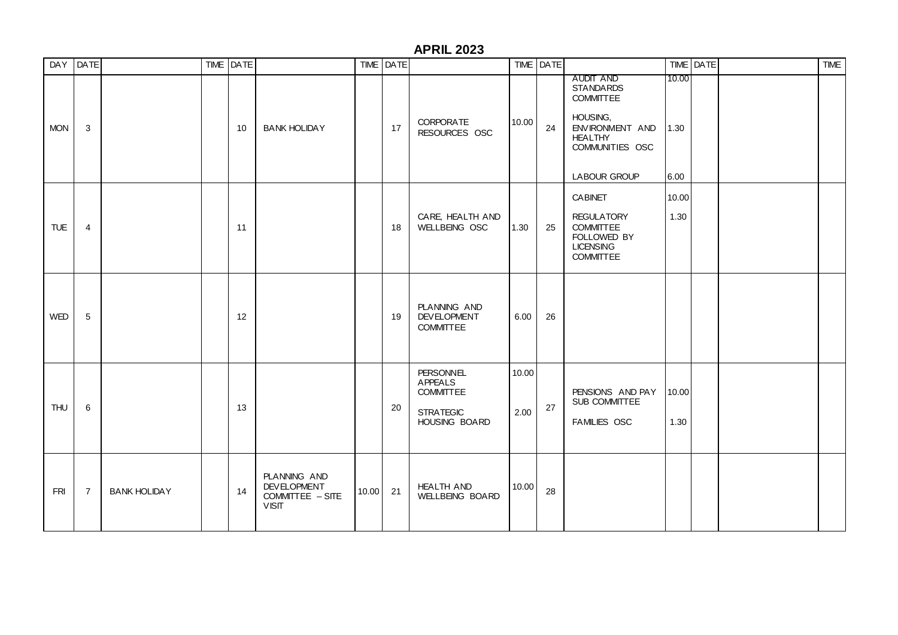#### **APRIL 2023**

|            | DAY DATE       |                     | TIME DATE |                                                                        |          | TIME DATE |                                                                                             |               | TIME DATE |                                                                                                                                              |                       | TIME DATE | <b>TIME</b> |
|------------|----------------|---------------------|-----------|------------------------------------------------------------------------|----------|-----------|---------------------------------------------------------------------------------------------|---------------|-----------|----------------------------------------------------------------------------------------------------------------------------------------------|-----------------------|-----------|-------------|
| <b>MON</b> | 3              |                     | 10        | <b>BANK HOLIDAY</b>                                                    |          | 17        | <b>CORPORATE</b><br>RESOURCES OSC                                                           | 10.00         | 24        | AUDIT AND<br><b>STANDARDS</b><br><b>COMMITTEE</b><br>HOUSING,<br>ENVIRONMENT AND<br><b>HEALTHY</b><br>COMMUNITIES OSC<br><b>LABOUR GROUP</b> | 10.00<br>1.30<br>6.00 |           |             |
| <b>TUE</b> | $\overline{4}$ |                     | 11        |                                                                        |          | 18        | CARE, HEALTH AND<br>WELLBEING OSC                                                           | 1.30          | 25        | <b>CABINET</b><br><b>REGULATORY</b><br><b>COMMITTEE</b><br>FOLLOWED BY<br><b>LICENSING</b><br><b>COMMITTEE</b>                               | 10.00<br>1.30         |           |             |
| <b>WED</b> | 5              |                     | 12        |                                                                        |          | 19        | PLANNING AND<br><b>DEVELOPMENT</b><br><b>COMMITTEE</b>                                      | 6.00          | 26        |                                                                                                                                              |                       |           |             |
| THU        | 6              |                     | 13        |                                                                        |          | 20        | <b>PERSONNEL</b><br><b>APPEALS</b><br><b>COMMITTEE</b><br><b>STRATEGIC</b><br>HOUSING BOARD | 10.00<br>2.00 | 27        | PENSIONS AND PAY<br>SUB COMMITTEE<br>FAMILIES OSC                                                                                            | 10.00<br>1.30         |           |             |
| <b>FRI</b> | $\overline{7}$ | <b>BANK HOLIDAY</b> | 14        | PLANNING AND<br><b>DEVELOPMENT</b><br>COMMITTEE - SITE<br><b>VISIT</b> | 10.00 21 |           | <b>HEALTH AND</b><br><b>WELLBEING BOARD</b>                                                 | 10.00         | 28        |                                                                                                                                              |                       |           |             |